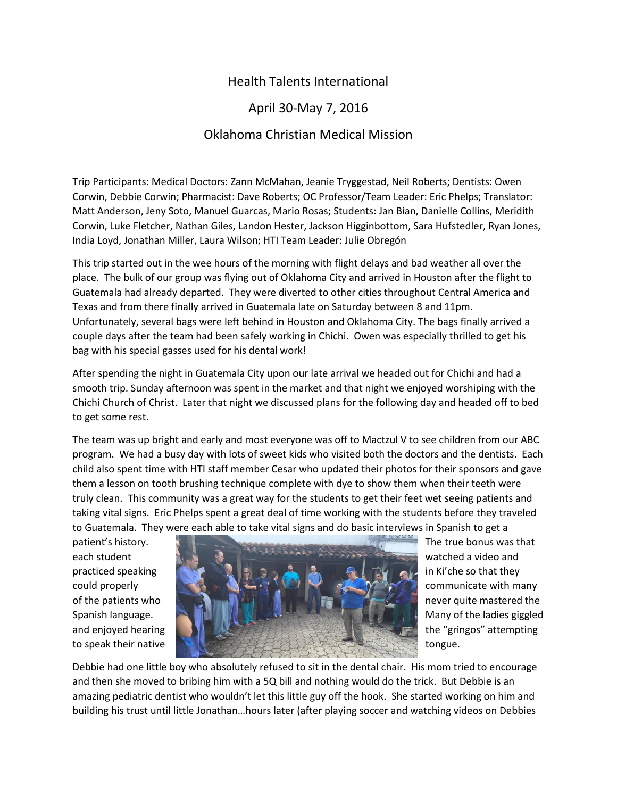## Health Talents International

## April 30-May 7, 2016

## Oklahoma Christian Medical Mission

Trip Participants: Medical Doctors: Zann McMahan, Jeanie Tryggestad, Neil Roberts; Dentists: Owen Corwin, Debbie Corwin; Pharmacist: Dave Roberts; OC Professor/Team Leader: Eric Phelps; Translator: Matt Anderson, Jeny Soto, Manuel Guarcas, Mario Rosas; Students: Jan Bian, Danielle Collins, Meridith Corwin, Luke Fletcher, Nathan Giles, Landon Hester, Jackson Higginbottom, Sara Hufstedler, Ryan Jones, India Loyd, Jonathan Miller, Laura Wilson; HTI Team Leader: Julie Obregón

This trip started out in the wee hours of the morning with flight delays and bad weather all over the place. The bulk of our group was flying out of Oklahoma City and arrived in Houston after the flight to Guatemala had already departed. They were diverted to other cities throughout Central America and Texas and from there finally arrived in Guatemala late on Saturday between 8 and 11pm. Unfortunately, several bags were left behind in Houston and Oklahoma City. The bags finally arrived a couple days after the team had been safely working in Chichi. Owen was especially thrilled to get his bag with his special gasses used for his dental work!

After spending the night in Guatemala City upon our late arrival we headed out for Chichi and had a smooth trip. Sunday afternoon was spent in the market and that night we enjoyed worshiping with the Chichi Church of Christ. Later that night we discussed plans for the following day and headed off to bed to get some rest.

The team was up bright and early and most everyone was off to Mactzul V to see children from our ABC program. We had a busy day with lots of sweet kids who visited both the doctors and the dentists. Each child also spent time with HTI staff member Cesar who updated their photos for their sponsors and gave them a lesson on tooth brushing technique complete with dye to show them when their teeth were truly clean. This community was a great way for the students to get their feet wet seeing patients and taking vital signs. Eric Phelps spent a great deal of time working with the students before they traveled to Guatemala. They were each able to take vital signs and do basic interviews in Spanish to get a



Debbie had one little boy who absolutely refused to sit in the dental chair. His mom tried to encourage and then she moved to bribing him with a 5Q bill and nothing would do the trick. But Debbie is an amazing pediatric dentist who wouldn't let this little guy off the hook. She started working on him and building his trust until little Jonathan…hours later (after playing soccer and watching videos on Debbies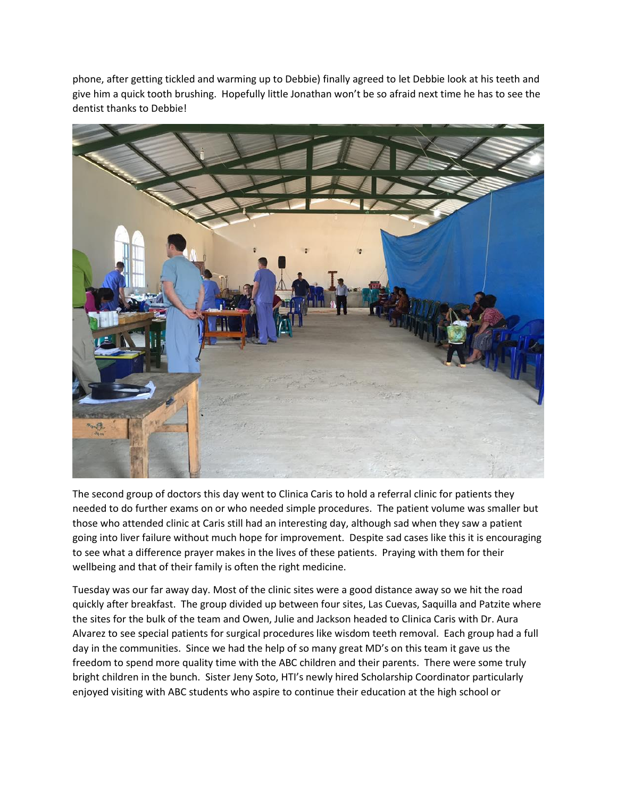phone, after getting tickled and warming up to Debbie) finally agreed to let Debbie look at his teeth and give him a quick tooth brushing. Hopefully little Jonathan won't be so afraid next time he has to see the dentist thanks to Debbie!



The second group of doctors this day went to Clinica Caris to hold a referral clinic for patients they needed to do further exams on or who needed simple procedures. The patient volume was smaller but those who attended clinic at Caris still had an interesting day, although sad when they saw a patient going into liver failure without much hope for improvement. Despite sad cases like this it is encouraging to see what a difference prayer makes in the lives of these patients. Praying with them for their wellbeing and that of their family is often the right medicine.

Tuesday was our far away day. Most of the clinic sites were a good distance away so we hit the road quickly after breakfast. The group divided up between four sites, Las Cuevas, Saquilla and Patzite where the sites for the bulk of the team and Owen, Julie and Jackson headed to Clinica Caris with Dr. Aura Alvarez to see special patients for surgical procedures like wisdom teeth removal. Each group had a full day in the communities. Since we had the help of so many great MD's on this team it gave us the freedom to spend more quality time with the ABC children and their parents. There were some truly bright children in the bunch. Sister Jeny Soto, HTI's newly hired Scholarship Coordinator particularly enjoyed visiting with ABC students who aspire to continue their education at the high school or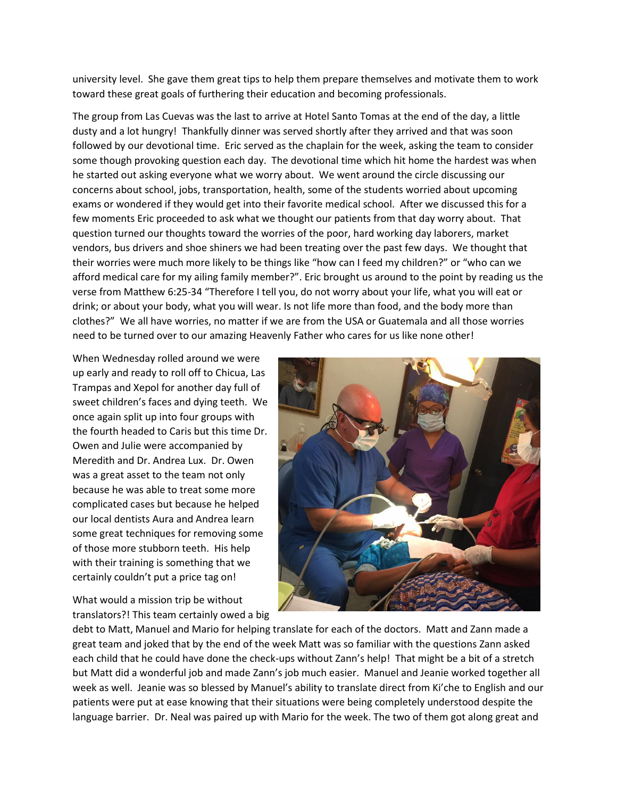university level. She gave them great tips to help them prepare themselves and motivate them to work toward these great goals of furthering their education and becoming professionals.

The group from Las Cuevas was the last to arrive at Hotel Santo Tomas at the end of the day, a little dusty and a lot hungry! Thankfully dinner was served shortly after they arrived and that was soon followed by our devotional time. Eric served as the chaplain for the week, asking the team to consider some though provoking question each day. The devotional time which hit home the hardest was when he started out asking everyone what we worry about. We went around the circle discussing our concerns about school, jobs, transportation, health, some of the students worried about upcoming exams or wondered if they would get into their favorite medical school. After we discussed this for a few moments Eric proceeded to ask what we thought our patients from that day worry about. That question turned our thoughts toward the worries of the poor, hard working day laborers, market vendors, bus drivers and shoe shiners we had been treating over the past few days. We thought that their worries were much more likely to be things like "how can I feed my children?" or "who can we afford medical care for my ailing family member?". Eric brought us around to the point by reading us the verse from Matthew 6:25-34 "Therefore I tell you, do not worry about your life, what you will eat or drink; or about your body, what you will wear. Is not life more than food, and the body more than clothes?" We all have worries, no matter if we are from the USA or Guatemala and all those worries need to be turned over to our amazing Heavenly Father who cares for us like none other!

When Wednesday rolled around we were up early and ready to roll off to Chicua, Las Trampas and Xepol for another day full of sweet children's faces and dying teeth. We once again split up into four groups with the fourth headed to Caris but this time Dr. Owen and Julie were accompanied by Meredith and Dr. Andrea Lux. Dr. Owen was a great asset to the team not only because he was able to treat some more complicated cases but because he helped our local dentists Aura and Andrea learn some great techniques for removing some of those more stubborn teeth. His help with their training is something that we certainly couldn't put a price tag on!

What would a mission trip be without translators?! This team certainly owed a big



debt to Matt, Manuel and Mario for helping translate for each of the doctors. Matt and Zann made a great team and joked that by the end of the week Matt was so familiar with the questions Zann asked each child that he could have done the check-ups without Zann's help! That might be a bit of a stretch but Matt did a wonderful job and made Zann's job much easier. Manuel and Jeanie worked together all week as well. Jeanie was so blessed by Manuel's ability to translate direct from Ki'che to English and our patients were put at ease knowing that their situations were being completely understood despite the language barrier. Dr. Neal was paired up with Mario for the week. The two of them got along great and